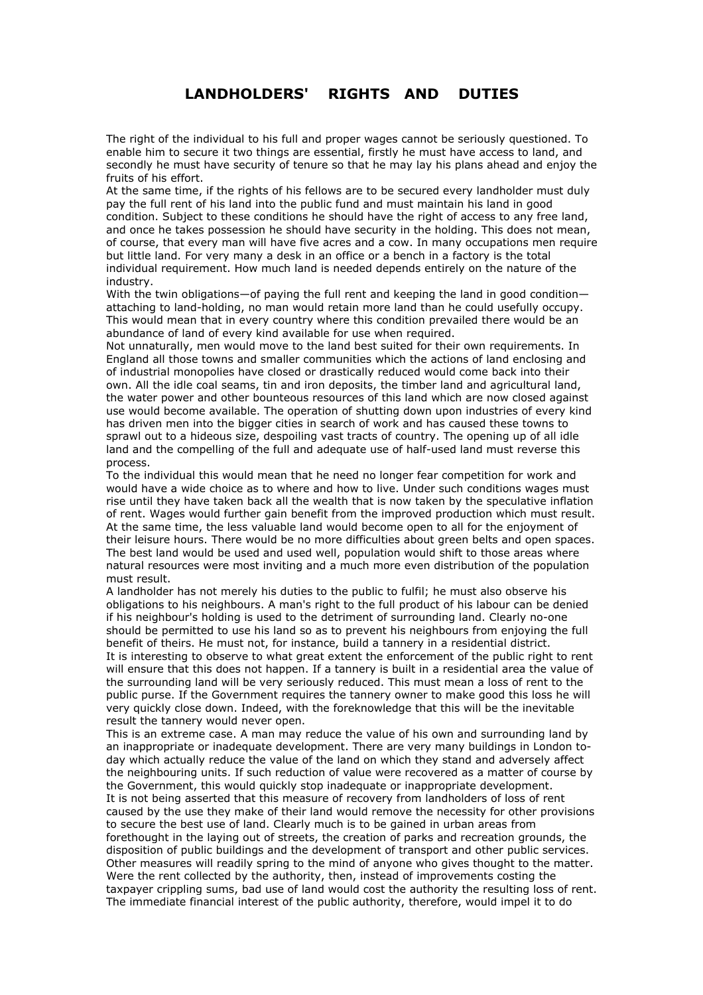## $LANDHOLDERS'$  RIGHTS AND DUTIES

The right of the individual to his full and proper wages cannot be seriously questioned. To enable him to secure it two things are essential, firstly he must have access to land, and secondly he must have security of tenure so that he may lay his plans ahead and enjoy the fruits of his effort.

At the same time, if the rights of his fellows are to be secured every landholder must duly pay the full rent of his land into the public fund and must maintain his land in good condition. Subject to these conditions he should have the right of access to any free land, and once he takes possession he should have security in the holding. This does not mean, of course, that every man will have five acres and a cow. In many occupations men require but little land. For very many a desk in an office or a bench in a factory is the total individual requirement. How much land is needed depends entirely on the nature of the industry.

With the twin obligations $-$  of paying the full rent and keeping the land in good condition $$ attaching to land-holding, no man would retain more land than he could usefully occupy. This would mean that in every country where this condition prevailed there would be an abundance of land of every kind available for use when required.

Not unnaturally, men would move to the land best suited for their own requirements. In England all those towns and smaller communities which the actions of land enclosing and of industrial monopolies have closed or drastically reduced would come back into their own. All the idle coal seams, tin and iron deposits, the timber land and agricultural land, the water power and other bounteous resources of this land which are now closed against use would become available. The operation of shutting down upon industries of every kind has driven men into the bigger cities in search of work and has caused these towns to sprawl out to a hideous size, despoiling vast tracts of country. The opening up of all idle land and the compelling of the full and adequate use of half-used land must reverse this process.

To the individual this would mean that he need no longer fear competition for work and would have a wide choice as to where and how to live. Under such conditions wages must rise until they have taken back all the wealth that is now taken by the speculative inflation of rent. Wages would further gain benefit from the improved production which must result. At the same time, the less valuable land would become open to all for the enjoyment of their leisure hours. There would be no more difficulties about green belts and open spaces. The best land would be used and used well, population would shift to those areas where natural resources were most inviting and a much more even distribution of the population must result.

A landholder has not merely his duties to the public to fulfil; he must also observe his obligations to his neighbours. A man's right to the full product of his labour can be denied if his neighbour's holding is used to the detriment of surrounding land. Clearly no-one should be permitted to use his land so as to prevent his neighbours from enjoying the full benefit of theirs. He must not, for instance, build a tannery in a residential district. It is interesting to observe to what great extent the enforcement of the public right to rent will ensure that this does not happen. If a tannery is built in a residential area the value of the surrounding land will be very seriously reduced. This must mean a loss of rent to the public purse. If the Government requires the tannery owner to make good this loss he will very quickly close down. Indeed, with the foreknowledge that this will be the inevitable result the tannery would never open.

This is an extreme case. A man may reduce the value of his own and surrounding land by an inappropriate or inadequate development. There are very many buildings in London today which actually reduce the value of the land on which they stand and adversely affect the neighbouring units. If such reduction of value were recovered as a matter of course by the Government, this would quickly stop inadequate or inappropriate development. It is not being asserted that this measure of recovery from landholders of loss of rent caused by the use they make of their land would remove the necessity for other provisions to secure the best use of land. Clearly much is to be gained in urban areas from forethought in the laying out of streets, the creation of parks and recreation grounds, the disposition of public buildings and the development of transport and other public services. Other measures will readily spring to the mind of anyone who gives thought to the matter. Were the rent collected by the authority, then, instead of improvements costing the taxpayer crippling sums, bad use of land would cost the authority the resulting loss of rent. The immediate financial interest of the public authority, therefore, would impel it to do